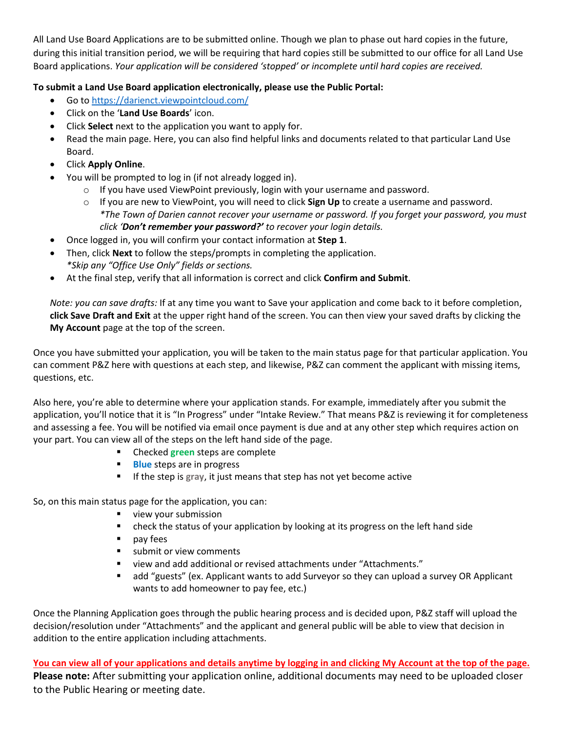All Land Use Board Applications are to be submitted online. Though we plan to phase out hard copies in the future, during this initial transition period, we will be requiring that hard copies still be submitted to our office for all Land Use Board applications. *Your application will be considered 'stopped' or incomplete until hard copies are received.*

## **To submit a Land Use Board application electronically, please use the Public Portal:**

- Go to<https://darienct.viewpointcloud.com/>
- Click on the '**Land Use Boards**' icon.
- Click **Select** next to the application you want to apply for.
- Read the main page. Here, you can also find helpful links and documents related to that particular Land Use Board.
- Click **Apply Online**.
- You will be prompted to log in (if not already logged in).
	- $\circ$  If you have used ViewPoint previously, login with your username and password.
	- o If you are new to ViewPoint, you will need to click **Sign Up** to create a username and password. *\*The Town of Darien cannot recover your username or password. If you forget your password, you must click 'Don't remember your password?' to recover your login details.*
	- Once logged in, you will confirm your contact information at **Step 1**.
- Then, click **Next** to follow the steps/prompts in completing the application. *\*Skip any "Office Use Only" fields or sections.*
- At the final step, verify that all information is correct and click **Confirm and Submit**.

*Note: you can save drafts:* If at any time you want to Save your application and come back to it before completion, **click Save Draft and Exit** at the upper right hand of the screen. You can then view your saved drafts by clicking the **My Account** page at the top of the screen.

Once you have submitted your application, you will be taken to the main status page for that particular application. You can comment P&Z here with questions at each step, and likewise, P&Z can comment the applicant with missing items, questions, etc.

Also here, you're able to determine where your application stands. For example, immediately after you submit the application, you'll notice that it is "In Progress" under "Intake Review." That means P&Z is reviewing it for completeness and assessing a fee. You will be notified via email once payment is due and at any other step which requires action on your part. You can view all of the steps on the left hand side of the page.

- Checked **green** steps are complete
- **Blue** steps are in progress
- If the step is **gray**, it just means that step has not yet become active

So, on this main status page for the application, you can:

- **view your submission**
- **•** check the status of your application by looking at its progress on the left hand side
- **pay fees**
- submit or view comments
- view and add additional or revised attachments under "Attachments."
- add "guests" (ex. Applicant wants to add Surveyor so they can upload a survey OR Applicant wants to add homeowner to pay fee, etc.)

Once the Planning Application goes through the public hearing process and is decided upon, P&Z staff will upload the decision/resolution under "Attachments" and the applicant and general public will be able to view that decision in addition to the entire application including attachments.

**You can view all of your applications and details anytime by logging in and clicking My Account at the top of the page. Please note:** After submitting your application online, additional documents may need to be uploaded closer to the Public Hearing or meeting date.